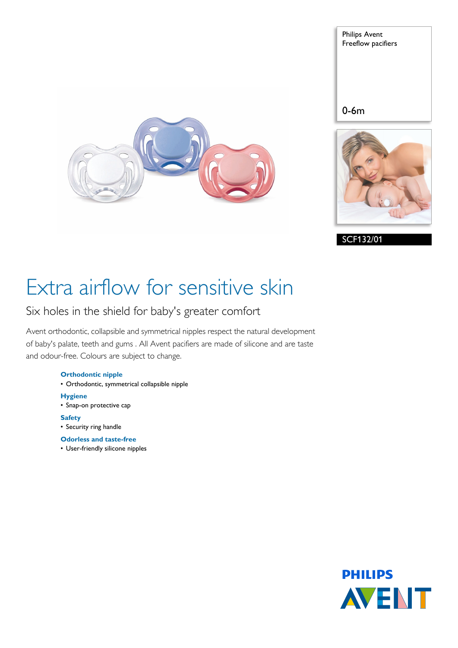Philips Avent Freeflow pacifiers

## 0-6m





# Extra airflow for sensitive skin

## Six holes in the shield for baby's greater comfort

Avent orthodontic, collapsible and symmetrical nipples respect the natural development of baby's palate, teeth and gums . All Avent pacifiers are made of silicone and are taste and odour-free. Colours are subject to change.

## **Orthodontic nipple**

- Orthodontic, symmetrical collapsible nipple
- **Hygiene**
- Snap-on protective cap
- **Safety**
- Security ring handle
- **Odorless and taste-free**
- User-friendly silicone nipples